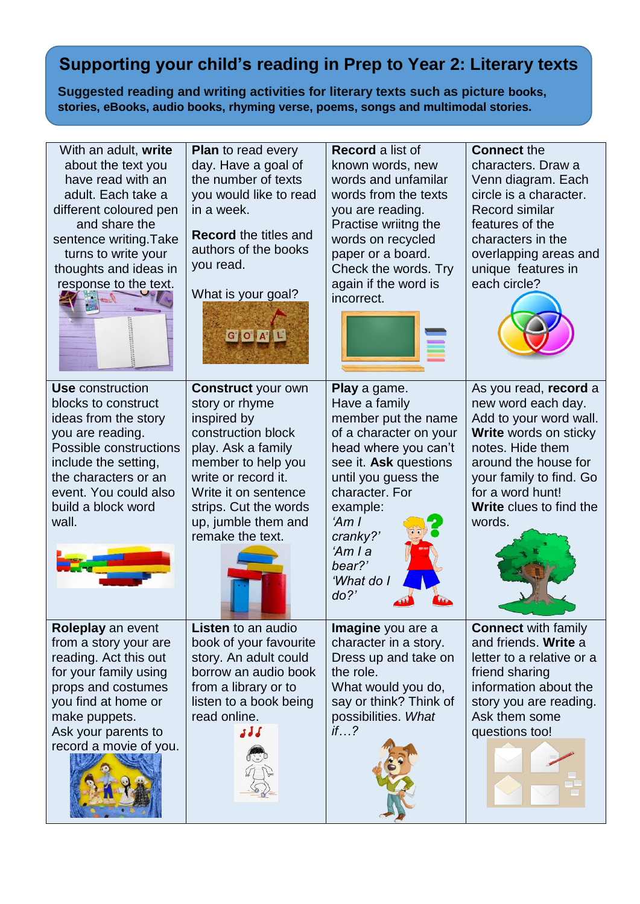## **Supporting your child's reading in Prep to Year 2: Literary texts**

**Suggested reading and writing activities for literary texts such as picture books, stories, eBooks, audio books, rhyming verse, poems, songs and multimodal stories.**